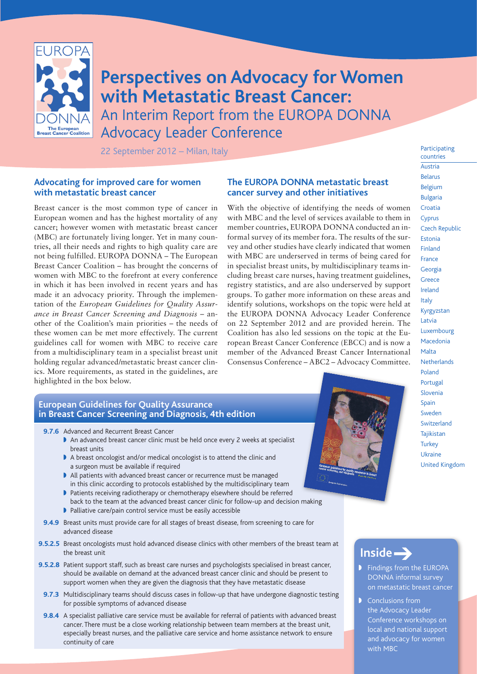

**Perspectives on Advocacy for Women with Metastatic Breast Cancer:** An Interim Report from the EUROPA DONNA Advocacy Leader Conference

22 September 2012 – Milan, Italy

#### **Advocating for improved care for women with metastatic breast cancer**

Breast cancer is the most common type of cancer in European women and has the highest mortality of any cancer; however women with metastatic breast cancer (MBC) are fortunately living longer. Yet in many countries, all their needs and rights to high quality care are not being fulfilled. EUROPA DONNA – The European Breast Cancer Coalition – has brought the concerns of women with MBC to the forefront at every conference in which it has been involved in recent years and has made it an advocacy priority. Through the implementation of the *European Guidelines for Quality Assurance in Breast Cancer Screening and Diagnosis* – another of the Coalition's main priorities – the needs of these women can be met more effectively. The current guidelines call for women with MBC to receive care from a multidisciplinary team in a specialist breast unit holding regular advanced/metastatic breast cancer clinics. More requirements, as stated in the guidelines, are highlighted in the box below.

#### **The EUROPA DONNA metastatic breast cancer survey and other initiatives**

With the objective of identifying the needs of women with MBC and the level of services available to them in member countries, EUROPA DONNA conducted an informal survey of its member fora. The results of the survey and other studies have clearly indicated that women with MBC are underserved in terms of being cared for in specialist breast units, by multidisciplinary teams including breast care nurses, having treatment guidelines, registry statistics, and are also underserved by support groups. To gather more information on these areas and identify solutions, workshops on the topic were held at the EUROPA DONNA Advocacy Leader Conference on 22 September 2012 and are provided herein. The Coalition has also led sessions on the topic at the European Breast Cancer Conference (EBCC) and is now a member of the Advanced Breast Cancer International Consensus Conference – ABC2 – Advocacy Committee.

#### **European Guidelines for Quality Assurance in Breast Cancer Screening and Diagnosis, 4th edition**

- **9.7.6** Advanced and Recurrent Breast Cancer
	- I An advanced breast cancer clinic must be held once every 2 weeks at specialist breast units
	- A breast oncologist and/or medical oncologist is to attend the clinic and a surgeon must be available if required
	- All patients with advanced breast cancer or recurrence must be managed in this clinic according to protocols established by the multidisciplinary team
	- I Patients receiving radiotherapy or chemotherapy elsewhere should be referred back to the team at the advanced breast cancer clinic for follow-up and decision making
	- $\blacktriangleright$  Palliative care/pain control service must be easily accessible
- **9.4.9** Breast units must provide care for all stages of breast disease, from screening to care for advanced disease
- **9.5.2.5** Breast oncologists must hold advanced disease clinics with other members of the breast team at the breast unit
- **9.5.2.8** Patient support staff, such as breast care nurses and psychologists specialised in breast cancer, should be available on demand at the advanced breast cancer clinic and should be present to support women when they are given the diagnosis that they have metastatic disease
	- **9.7.3** Multidisciplinary teams should discuss cases in follow-up that have undergone diagnostic testing for possible symptoms of advanced disease
	- **9.8.4** A specialist palliative care service must be available for referral of patients with advanced breast cancer. There must be a close working relationship between team members at the breast unit, especially breast nurses, and the palliative care service and home assistance network to ensure continuity of care



Participating countries Austria Belarus Belgium Bulgaria Croatia **Cyprus** Czech Republic Estonia Finland France Georgia **Greece** Ireland Italy Kyrgyzstan Latvia Luxembourg Macedonia Malta **Netherlands** Poland Portugal Slovenia Spain Sweden Switzerland Tajikistan **Turkey** Ukraine United Kingdom

# **Inside** ➔

- **Findings from the EUROPA** DONNA informal survey on metastatic breast cancer
- $\triangleright$  Conclusions from the Advocacy Leader Conference workshops on local and national support and advocacy for women with MBC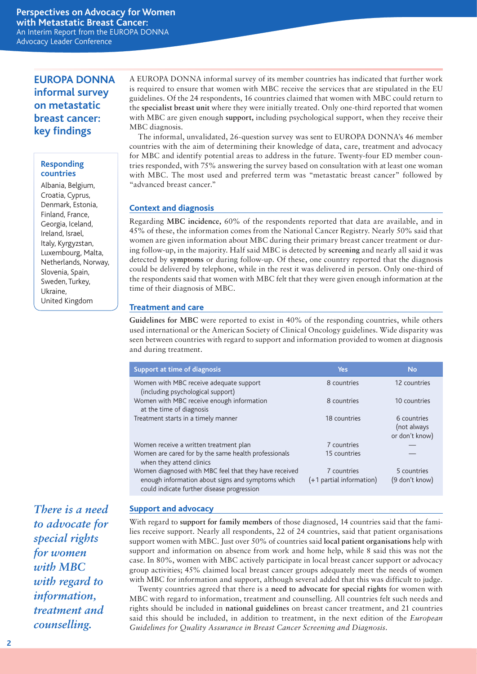## **EUROPA DONNA informal survey on metastatic breast cancer: key findings**

#### **Responding countries**

Albania, Belgium, Croatia, Cyprus, Denmark, Estonia, Finland, France, Georgia, Iceland, Ireland, Israel, Italy, Kyrgyzstan, Luxembourg, Malta, Netherlands, Norway, Slovenia, Spain, Sweden, Turkey, Ukraine, United Kingdom

A EUROPA DONNA informal survey of its member countries has indicated that further work is required to ensure that women with MBC receive the services that are stipulated in the EU guidelines. Of the 24 respondents, 16 countries claimed that women with MBC could return to the **specialist breast unit** where they were initially treated. Only one-third reported that women with MBC are given enough **support,** including psychological support, when they receive their MBC diagnosis.

The informal, unvalidated, 26-question survey was sent to EUROPA DONNA's 46 member countries with the aim of determining their knowledge of data, care, treatment and advocacy for MBC and identify potential areas to address in the future. Twenty-four ED member countries responded, with 75% answering the survey based on consultation with at least one woman with MBC. The most used and preferred term was "metastatic breast cancer" followed by "advanced breast cancer."

### **Context and diagnosis**

Regarding **MBC incidence,** 60% of the respondents reported that data are available, and in 45% of these, the information comes from the National Cancer Registry. Nearly 50% said that women are given information about MBC during their primary breast cancer treatment or during follow-up, in the majority. Half said MBC is detected by **screening** and nearly all said it was detected by **symptoms** or during follow-up. Of these, one country reported that the diagnosis could be delivered by telephone, while in the rest it was delivered in person. Only one-third of the respondents said that women with MBC felt that they were given enough information at the time of their diagnosis of MBC.

#### **Treatment and care**

**Guidelines for MBC** were reported to exist in 40% of the responding countries, while others used international or the American Society of Clinical Oncology guidelines. Wide disparity was seen between countries with regard to support and information provided to women at diagnosis and during treatment.

| Support at time of diagnosis                                                                    | <b>Yes</b>               | <b>No</b>                                    |
|-------------------------------------------------------------------------------------------------|--------------------------|----------------------------------------------|
| Women with MBC receive adequate support<br>(including psychological support)                    | 8 countries              | 12 countries                                 |
| Women with MBC receive enough information<br>at the time of diagnosis                           | 8 countries              | 10 countries                                 |
| Treatment starts in a timely manner                                                             | 18 countries             | 6 countries<br>(not always<br>or don't know) |
| Women receive a written treatment plan                                                          | 7 countries              |                                              |
| Women are cared for by the same health professionals<br>when they attend clinics                | 15 countries             |                                              |
| Women diagnosed with MBC feel that they have received                                           | 7 countries              | 5 countries                                  |
| enough information about signs and symptoms which<br>could indicate further disease progression | (+1 partial information) | (9 don't know)                               |

#### **Support and advocacy**

With regard to **support for family members** of those diagnosed, 14 countries said that the families receive support. Nearly all respondents, 22 of 24 countries, said that patient organisations support women with MBC. Just over 50% of countries said **local patient organisations** help with support and information on absence from work and home help, while 8 said this was not the case. In 80%, women with MBC actively participate in local breast cancer support or advocacy group activities; 45% claimed local breast cancer groups adequately meet the needs of women with MBC for information and support, although several added that this was difficult to judge.

Twenty countries agreed that there is a **need to advocate for special rights** for women with MBC with regard to information, treatment and counselling. All countries felt such needs and rights should be included in **national guidelines** on breast cancer treatment, and 21 countries said this should be included, in addition to treatment, in the next edition of the *European Guidelines for Quality Assurance in Breast Cancer Screening and Diagnosis*.

*There is a need to advocate for special rights for women with MBC with regard to information, treatment and counselling.*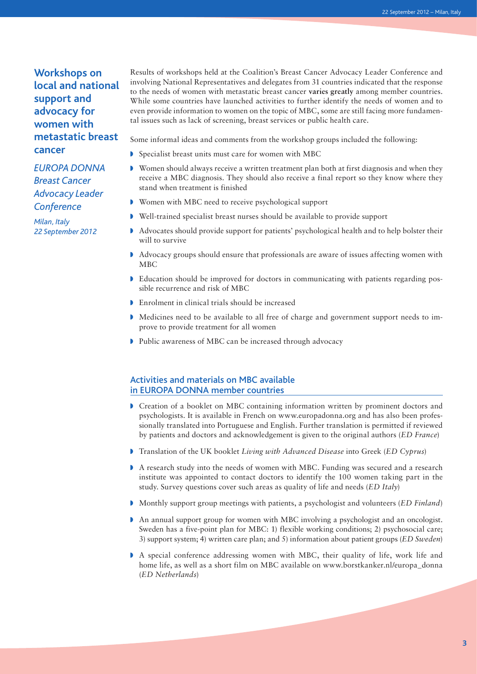## **Workshops on local and national support and advocacy for women with metastatic breast cancer**

*EUROPA DONNA Breast Cancer Advocacy Leader Conference*

*Milan, Italy 22 September 2012* Results of workshops held at the Coalition's Breast Cancer Advocacy Leader Conference and involving National Representatives and delegates from 31 countries indicated that the response to the needs of women with metastatic breast cancer **varies greatly** among member countries. While some countries have launched activities to further identify the needs of women and to even provide information to women on the topic of MBC, some are still facing more fundamental issues such as lack of screening, breast services or public health care.

Some informal ideas and comments from the workshop groups included the following:

- **D** Specialist breast units must care for women with MBC
- $\triangleright$  Women should always receive a written treatment plan both at first diagnosis and when they receive a MBC diagnosis. They should also receive a final report so they know where they stand when treatment is finished
- Women with MBC need to receive psychological support
- Well-trained specialist breast nurses should be available to provide support
- Advocates should provide support for patients' psychological health and to help bolster their will to survive
- Advocacy groups should ensure that professionals are aware of issues affecting women with MBC
- $\blacktriangleright$  Education should be improved for doctors in communicating with patients regarding possible recurrence and risk of MBC
- $\triangleright$  Enrolment in clinical trials should be increased
- $\blacktriangleright$  Medicines need to be available to all free of charge and government support needs to improve to provide treatment for all women
- lacktriangleright Public awareness of MBC can be increased through advocacy

#### Activities and materials on MBC available in EUROPA DONNA member countries

- Greation of a booklet on MBC containing information written by prominent doctors and psychologists. It is available in French on www.europadonna.org and has also been professionally translated into Portuguese and English. Further translation is permitted if reviewed by patients and doctors and acknowledgement is given to the original authors (*ED France*)
- w Translation of the UK booklet *Living with Advanced Disease* into Greek (*ED Cyprus*)
- A research study into the needs of women with MBC. Funding was secured and a research institute was appointed to contact doctors to identify the 100 women taking part in the study. Survey questions cover such areas as quality of life and needs (*ED Italy*)
- **Monthly support group meetings with patients, a psychologist and volunteers (***ED Finland***)**
- An annual support group for women with MBC involving a psychologist and an oncologist. Sweden has a five-point plan for MBC: 1) flexible working conditions; 2) psychosocial care; 3) support system; 4) written care plan; and 5) information about patient groups (*ED Sweden*)
- A special conference addressing women with MBC, their quality of life, work life and home life, as well as a short film on MBC available on www.borstkanker.nl/europa\_donna (*ED Netherlands*)